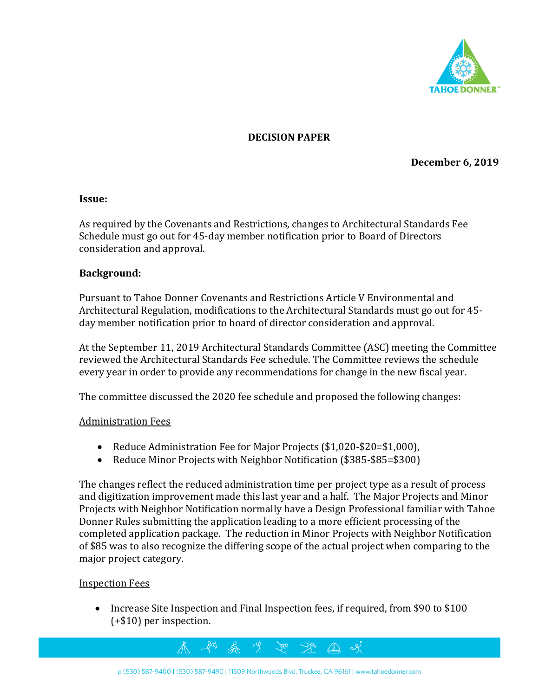

## **DECISION PAPER**

**December 6, 2019**

#### **Issue:**

As required by the Covenants and Restrictions, changes to Architectural Standards Fee Schedule must go out for 45-day member notification prior to Board of Directors consideration and approval.

#### **Background:**

Pursuant to Tahoe Donner Covenants and Restrictions Article V Environmental and Architectural Regulation, modifications to the Architectural Standards must go out for 45 day member notification prior to board of director consideration and approval.

At the September 11, 2019 Architectural Standards Committee (ASC) meeting the Committee reviewed the Architectural Standards Fee schedule. The Committee reviews the schedule every year in order to provide any recommendations for change in the new fiscal year.

The committee discussed the 2020 fee schedule and proposed the following changes:

#### Administration Fees

- Reduce Administration Fee for Major Projects (\$1,020-\$20=\$1,000),
- Reduce Minor Projects with Neighbor Notification (\$385-\$85=\$300)

The changes reflect the reduced administration time per project type as a result of process and digitization improvement made this last year and a half. The Major Projects and Minor Projects with Neighbor Notification normally have a Design Professional familiar with Tahoe Donner Rules submitting the application leading to a more efficient processing of the completed application package. The reduction in Minor Projects with Neighbor Notification of \$85 was to also recognize the differing scope of the actual project when comparing to the major project category.

#### Inspection Fees

• Increase Site Inspection and Final Inspection fees, if required, from \$90 to \$100 (+\$10) per inspection.

 $\Delta \!\!\! \Delta$ 

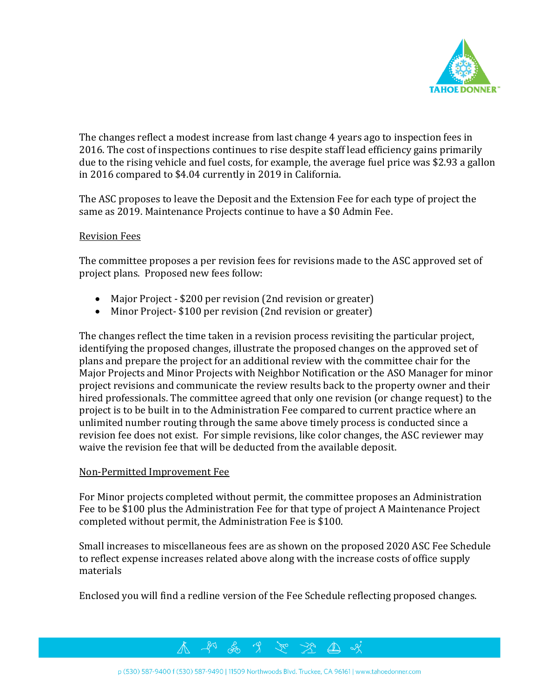

The changes reflect a modest increase from last change 4 years ago to inspection fees in 2016. The cost of inspections continues to rise despite staff lead efficiency gains primarily due to the rising vehicle and fuel costs, for example, the average fuel price was \$2.93 a gallon in 2016 compared to \$4.04 currently in 2019 in California.

The ASC proposes to leave the Deposit and the Extension Fee for each type of project the same as 2019. Maintenance Projects continue to have a \$0 Admin Fee.

## Revision Fees

The committee proposes a per revision fees for revisions made to the ASC approved set of project plans. Proposed new fees follow:

- Major Project \$200 per revision (2nd revision or greater)
- Minor Project- \$100 per revision (2nd revision or greater)

The changes reflect the time taken in a revision process revisiting the particular project, identifying the proposed changes, illustrate the proposed changes on the approved set of plans and prepare the project for an additional review with the committee chair for the Major Projects and Minor Projects with Neighbor Notification or the ASO Manager for minor project revisions and communicate the review results back to the property owner and their hired professionals. The committee agreed that only one revision (or change request) to the project is to be built in to the Administration Fee compared to current practice where an unlimited number routing through the same above timely process is conducted since a revision fee does not exist. For simple revisions, like color changes, the ASC reviewer may waive the revision fee that will be deducted from the available deposit.

#### Non-Permitted Improvement Fee

For Minor projects completed without permit, the committee proposes an Administration Fee to be \$100 plus the Administration Fee for that type of project A Maintenance Project completed without permit, the Administration Fee is \$100.

Small increases to miscellaneous fees are as shown on the proposed 2020 ASC Fee Schedule to reflect expense increases related above along with the increase costs of office supply materials

Enclosed you will find a redline version of the Fee Schedule reflecting proposed changes.

 $\mathcal{A}^{\circ}$ 

 $\mathbb{Z}$  of



<del>2</del> 9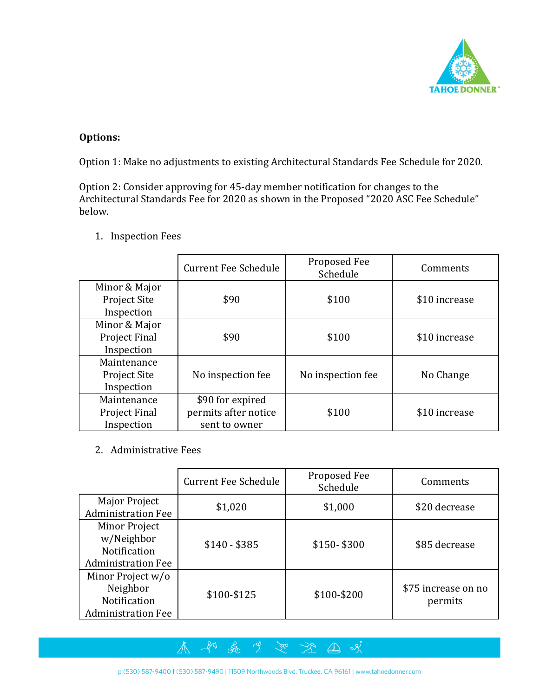

# **Options:**

Option 1: Make no adjustments to existing Architectural Standards Fee Schedule for 2020.

Option 2: Consider approving for 45-day member notification for changes to the Architectural Standards Fee for 2020 as shown in the Proposed "2020 ASC Fee Schedule" below.

|                                                    | <b>Current Fee Schedule</b>                               | Proposed Fee<br>Schedule | Comments      |
|----------------------------------------------------|-----------------------------------------------------------|--------------------------|---------------|
| Minor & Major<br><b>Project Site</b><br>Inspection | \$90                                                      | \$100                    | \$10 increase |
| Minor & Major<br>Project Final<br>Inspection       | \$90                                                      | \$100                    | \$10 increase |
| Maintenance<br>Project Site<br>Inspection          | No inspection fee                                         | No inspection fee        | No Change     |
| Maintenance<br>Project Final<br>Inspection         | \$90 for expired<br>permits after notice<br>sent to owner | \$100                    | \$10 increase |

1. Inspection Fees

2. Administrative Fees

|                                                                                 | <b>Current Fee Schedule</b> | Proposed Fee<br>Schedule | Comments                       |
|---------------------------------------------------------------------------------|-----------------------------|--------------------------|--------------------------------|
| Major Project<br><b>Administration Fee</b>                                      | \$1,020                     | \$1,000                  | \$20 decrease                  |
| <b>Minor Project</b><br>w/Neighbor<br>Notification<br><b>Administration Fee</b> | $$140 - $385$               | $$150 - $300$            | \$85 decrease                  |
| Minor Project w/o<br>Neighbor<br>Notification<br><b>Administration Fee</b>      | \$100-\$125                 | \$100-\$200              | \$75 increase on no<br>permits |

不 和 品 9 这些地域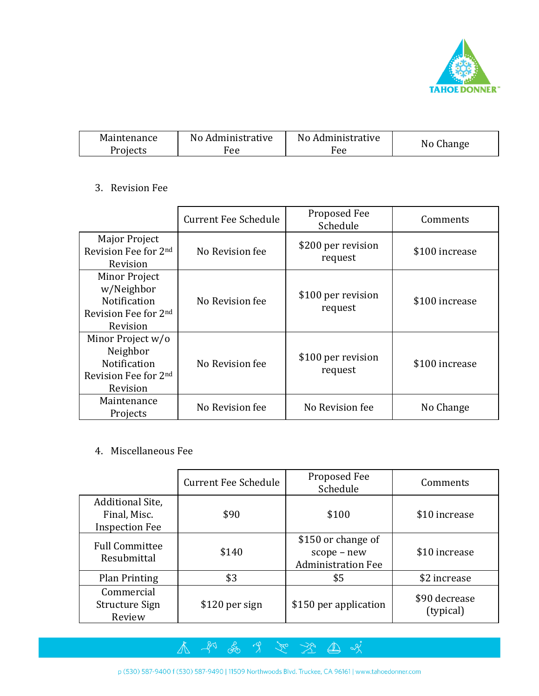

| Maintenance | No Administrative | No Administrative |           |
|-------------|-------------------|-------------------|-----------|
| Projects    | Fee               | Fee               | No Change |

## 3. Revision Fee

|                                                                                          | <b>Current Fee Schedule</b> | Proposed Fee<br>Schedule      | Comments       |
|------------------------------------------------------------------------------------------|-----------------------------|-------------------------------|----------------|
| Major Project<br>Revision Fee for 2nd<br>Revision                                        | No Revision fee             | \$200 per revision<br>request | \$100 increase |
| Minor Project<br>w/Neighbor<br><b>Notification</b><br>Revision Fee for 2nd<br>Revision   | No Revision fee             | \$100 per revision<br>request | \$100 increase |
| Minor Project w/o<br>Neighbor<br><b>Notification</b><br>Revision Fee for 2nd<br>Revision | No Revision fee             | \$100 per revision<br>request | \$100 increase |
| Maintenance<br>Projects                                                                  | No Revision fee             | No Revision fee               | No Change      |

# 4. Miscellaneous Fee

|                                                           | <b>Current Fee Schedule</b> | Proposed Fee<br>Schedule                                       | Comments                   |
|-----------------------------------------------------------|-----------------------------|----------------------------------------------------------------|----------------------------|
| Additional Site,<br>Final, Misc.<br><b>Inspection Fee</b> | \$90                        | \$100                                                          | \$10 increase              |
| <b>Full Committee</b><br>Resubmittal                      | \$140                       | \$150 or change of<br>scope - new<br><b>Administration Fee</b> | \$10 increase              |
| <b>Plan Printing</b>                                      | \$3                         | \$5                                                            | \$2 increase               |
| Commercial<br>Structure Sign<br>Review                    | \$120 per sign              | \$150 per application                                          | \$90 decrease<br>(typical) |

有法自然

p (530) 587-9400 f (530) 587-9490 | 11509 Northwoods Blvd. Truckee, CA 96161 | www.tahoedonner.com

太 知 品 9